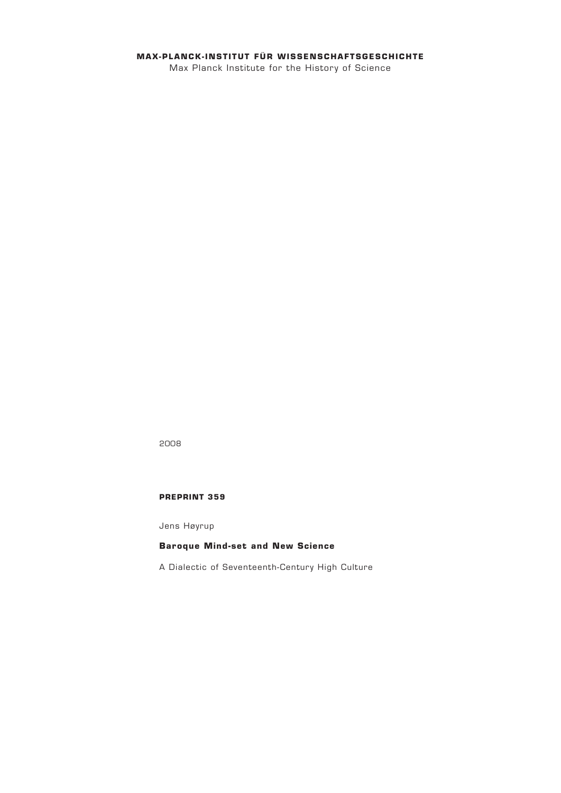#### **MAX-PLANCK-INSTITUT FÜR WISSENSCHAFTSGESCHICHTE**

Max Planck Institute for the History of Science

2008

#### **Preprint 359**

Jens Høyrup

#### **Bar oque Mind-set and New Science**

A Dialectic of Seventeenth-Century High Culture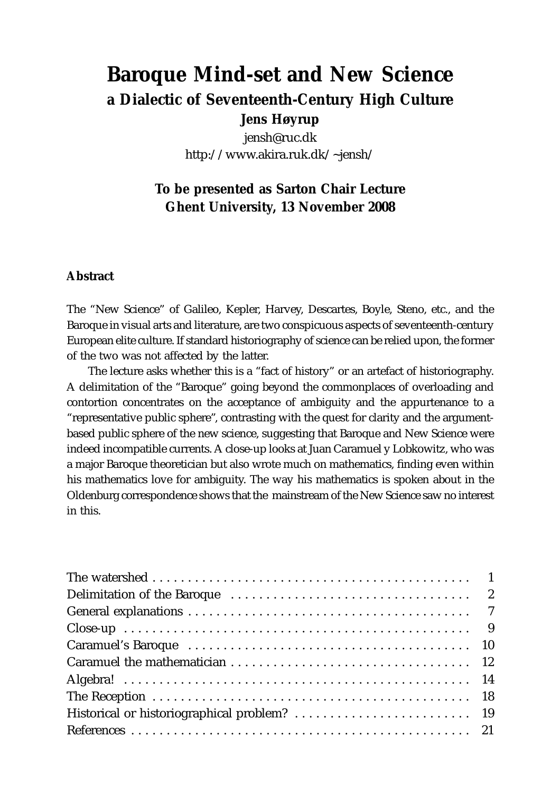# **Baroque Mind-set and New Science a Dialectic of Seventeenth-Century High Culture**

**Jens Høyrup**

jensh@ruc.dk http://www.akira.ruk.dk/~jensh/

# **To be presented as Sarton Chair Lecture Ghent University, 13 November 2008**

## **Abstract**

The "New Science" of Galileo, Kepler, Harvey, Descartes, Boyle, Steno, etc., and the Baroque in visual arts and literature, are two conspicuous aspects of seventeenth-century European elite culture. If standard historiography of science can be relied upon, the former of the two was not affected by the latter.

The lecture asks whether this is a "fact of history" or an artefact of historiography. A delimitation of the "Baroque" going beyond the commonplaces of overloading and contortion concentrates on the acceptance of ambiguity and the appurtenance to a "representative public sphere", contrasting with the quest for clarity and the argumentbased public sphere of the new science, suggesting that Baroque and New Science were indeed incompatible currents. A close-up looks at Juan Caramuel y Lobkowitz, who was a major Baroque theoretician but also wrote much on mathematics, finding even within his mathematics love for ambiguity. The way his mathematics is spoken about in the Oldenburg correspondence shows that the mainstream of the New Science saw no interest in this.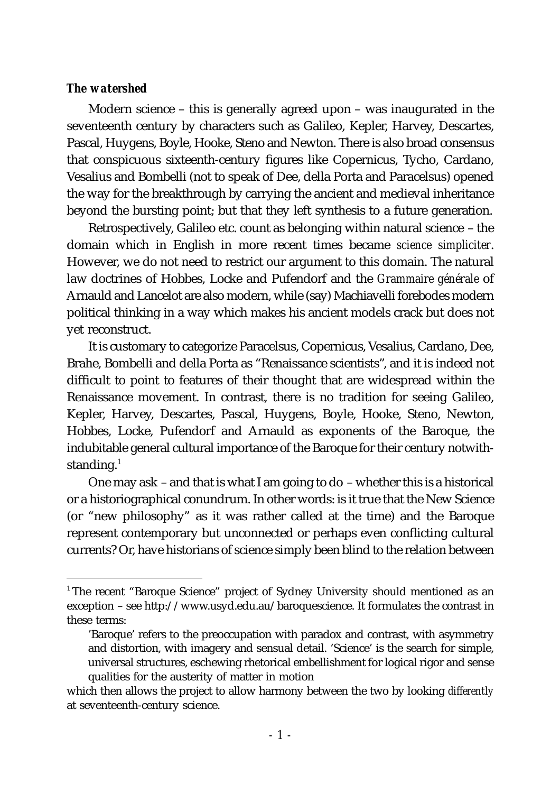#### *The watershed*

Modern science – this is generally agreed upon – was inaugurated in the seventeenth century by characters such as Galileo, Kepler, Harvey, Descartes, Pascal, Huygens, Boyle, Hooke, Steno and Newton. There is also broad consensus that conspicuous sixteenth-century figures like Copernicus, Tycho, Cardano, Vesalius and Bombelli (not to speak of Dee, della Porta and Paracelsus) opened the way for the breakthrough by carrying the ancient and medieval inheritance beyond the bursting point; but that they left synthesis to a future generation.

Retrospectively, Galileo etc. count as belonging within natural science – the domain which in English in more recent times became *science simpliciter*. However, we do not need to restrict our argument to this domain. The natural law doctrines of Hobbes, Locke and Pufendorf and the *Grammaire générale* of Arnauld and Lancelot are also modern, while (say) Machiavelli forebodes modern political thinking in a way which makes his ancient models crack but does not yet reconstruct.

It is customary to categorize Paracelsus, Copernicus, Vesalius, Cardano, Dee, Brahe, Bombelli and della Porta as "Renaissance scientists", and it is indeed not difficult to point to features of their thought that are widespread within the Renaissance movement. In contrast, there is no tradition for seeing Galileo, Kepler, Harvey, Descartes, Pascal, Huygens, Boyle, Hooke, Steno, Newton, Hobbes, Locke, Pufendorf and Arnauld as exponents of the Baroque, the indubitable general cultural importance of the Baroque for their century notwithstanding. $^1$ 

One may ask – and that is what I am going to do – whether this is a historical or a historiographical conundrum. In other words: is it true that the New Science (or "new philosophy" as it was rather called at the time) and the Baroque represent contemporary but unconnected or perhaps even conflicting cultural currents? Or, have historians of science simply been blind to the relation between

<sup>&</sup>lt;sup>1</sup> The recent "Baroque Science" project of Sydney University should mentioned as an exception – see http://www.usyd.edu.au/baroquescience. It formulates the contrast in these terms:

<sup>&#</sup>x27;Baroque' refers to the preoccupation with paradox and contrast, with asymmetry and distortion, with imagery and sensual detail. 'Science' is the search for simple, universal structures, eschewing rhetorical embellishment for logical rigor and sense qualities for the austerity of matter in motion

which then allows the project to allow harmony between the two by looking *differently* at seventeenth-century science.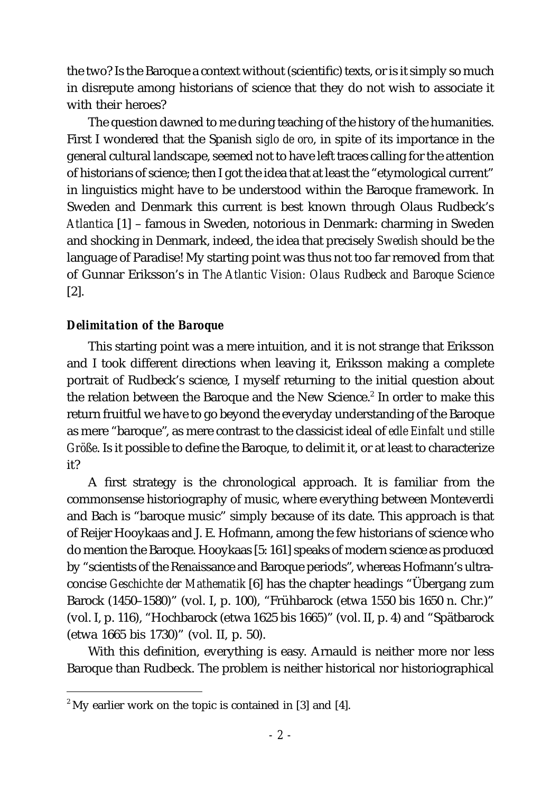the two? Is the Baroque a context without (scientific) texts, or is it simply so much in disrepute among historians of science that they do not wish to associate it with their heroes?

The question dawned to me during teaching of the history of the humanities. First I wondered that the Spanish *siglo de oro*, in spite of its importance in the general cultural landscape, seemed not to have left traces calling for the attention of historians of science; then I got the idea that at least the "etymological current" in linguistics might have to be understood within the Baroque framework. In Sweden and Denmark this current is best known through Olaus Rudbeck's *Atlantica* [1] – famous in Sweden, notorious in Denmark: charming in Sweden and shocking in Denmark, indeed, the idea that precisely *Swedish* should be the language of Paradise! My starting point was thus not too far removed from that of Gunnar Eriksson's in *The Atlantic Vision: Olaus Rudbeck and Baroque Science* [2].

## *Delimitation of the Baroque*

This starting point was a mere intuition, and it is not strange that Eriksson and I took different directions when leaving it, Eriksson making a complete portrait of Rudbeck's science, I myself returning to the initial question about the relation between the Baroque and the New Science.<sup>2</sup> In order to make this return fruitful we have to go beyond the everyday understanding of the Baroque as mere "baroque", as mere contrast to the classicist ideal of *edle Einfalt und stille Größe*. Is it possible to define the Baroque, to delimit it, or at least to characterize it?

A first strategy is the chronological approach. It is familiar from the commonsense historiography of music, where everything between Monteverdi and Bach is "baroque music" simply because of its date. This approach is that of Reijer Hooykaas and J. E. Hofmann, among the few historians of science who do mention the Baroque. Hooykaas [5: 161] speaks of modern science as produced by "scientists of the Renaissance and Baroque periods", whereas Hofmann's ultraconcise *Geschichte der Mathematik* [6] has the chapter headings "Übergang zum Barock (1450–1580)" (vol. I, p. 100), "Frühbarock (etwa 1550 bis 1650 n. Chr.)" (vol. I, p. 116), "Hochbarock (etwa 1625 bis 1665)" (vol. II, p. 4) and "Spätbarock (etwa 1665 bis 1730)" (vol. II, p. 50).

With this definition, everything is easy. Arnauld is neither more nor less Baroque than Rudbeck. The problem is neither historical nor historiographical

 $2^{\circ}$  My earlier work on the topic is contained in [3] and [4].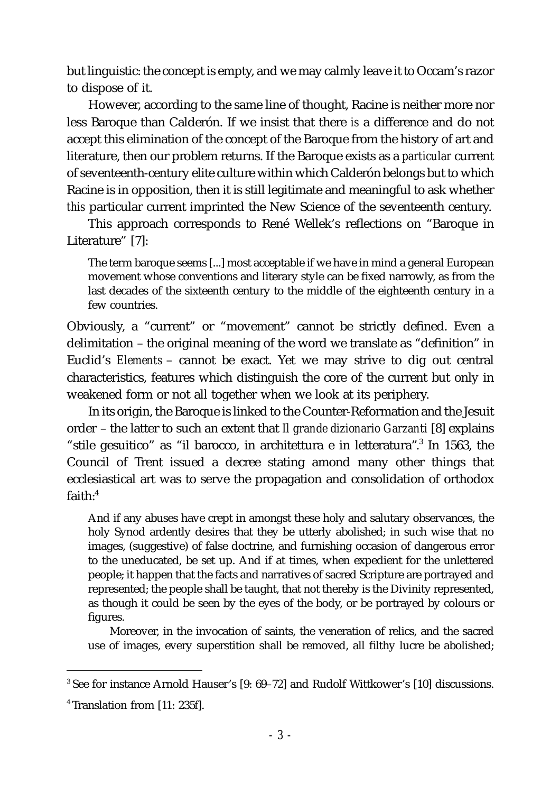but linguistic: the concept is empty, and we may calmly leave it to Occam's razor to dispose of it.

However, according to the same line of thought, Racine is neither more nor less Baroque than Calderón. If we insist that there *is* a difference and do not accept this elimination of the concept of the Baroque from the history of art and literature, then our problem returns. If the Baroque exists as a *particular* current of seventeenth-century elite culture within which Calderón belongs but to which Racine is in opposition, then it is still legitimate and meaningful to ask whether *this* particular current imprinted the New Science of the seventeenth century.

This approach corresponds to René Wellek's reflections on "Baroque in Literature" [7]:

The term baroque seems [...] most acceptable if we have in mind a general European movement whose conventions and literary style can be fixed narrowly, as from the last decades of the sixteenth century to the middle of the eighteenth century in a few countries.

Obviously, a "current" or "movement" cannot be strictly defined. Even a delimitation – the original meaning of the word we translate as "definition" in Euclid's *Elements* – cannot be exact. Yet we may strive to dig out central characteristics, features which distinguish the core of the current but only in weakened form or not all together when we look at its periphery.

In its origin, the Baroque is linked to the Counter-Reformation and the Jesuit order – the latter to such an extent that *Il grande dizionario Garzanti* [8] explains "stile gesuitico" as "il barocco, in architettura e in letteratura".<sup>3</sup> In 1563, the Council of Trent issued a decree stating amond many other things that ecclesiastical art was to serve the propagation and consolidation of orthodox faith:4

And if any abuses have crept in amongst these holy and salutary observances, the holy Synod ardently desires that they be utterly abolished; in such wise that no images, (suggestive) of false doctrine, and furnishing occasion of dangerous error to the uneducated, be set up. And if at times, when expedient for the unlettered people; it happen that the facts and narratives of sacred Scripture are portrayed and represented; the people shall be taught, that not thereby is the Divinity represented, as though it could be seen by the eyes of the body, or be portrayed by colours or figures.

Moreover, in the invocation of saints, the veneration of relics, and the sacred use of images, every superstition shall be removed, all filthy lucre be abolished;

<sup>3</sup> See for instance Arnold Hauser's [9: 69–72] and Rudolf Wittkower's [10] discussions.

<sup>4</sup> Translation from [11: 235*f*].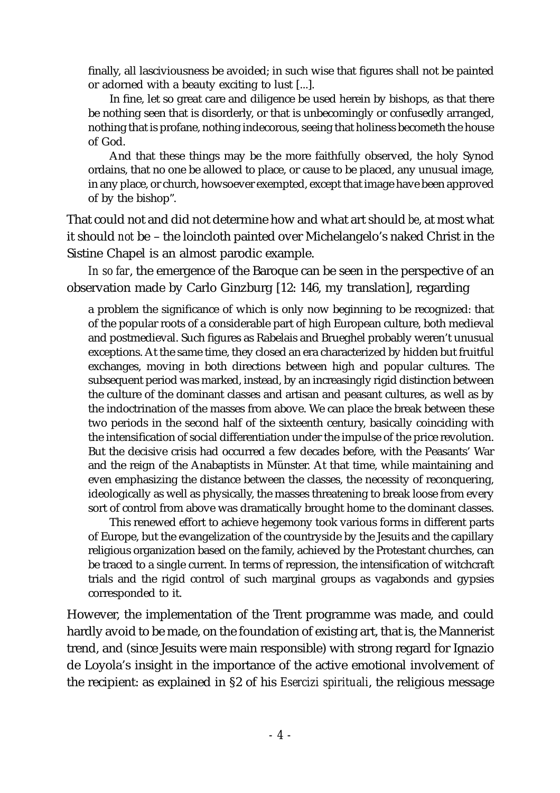finally, all lasciviousness be avoided; in such wise that figures shall not be painted or adorned with a beauty exciting to lust [...].

In fine, let so great care and diligence be used herein by bishops, as that there be nothing seen that is disorderly, or that is unbecomingly or confusedly arranged, nothing that is profane, nothing indecorous, seeing that holiness becometh the house of God.

And that these things may be the more faithfully observed, the holy Synod ordains, that no one be allowed to place, or cause to be placed, any unusual image, in any place, or church, howsoever exempted, except that image have been approved of by the bishop".

That could not and did not determine how and what art should *be*, at most what it should *not* be – the loincloth painted over Michelangelo's naked Christ in the Sistine Chapel is an almost parodic example.

*In so far*, the emergence of the Baroque can be seen in the perspective of an observation made by Carlo Ginzburg [12: 146, my translation], regarding

a problem the significance of which is only now beginning to be recognized: that of the popular roots of a considerable part of high European culture, both medieval and postmedieval. Such figures as Rabelais and Brueghel probably weren't unusual exceptions. At the same time, they closed an era characterized by hidden but fruitful exchanges, moving in both directions between high and popular cultures. The subsequent period was marked, instead, by an increasingly rigid distinction between the culture of the dominant classes and artisan and peasant cultures, as well as by the indoctrination of the masses from above. We can place the break between these two periods in the second half of the sixteenth century, basically coinciding with the intensification of social differentiation under the impulse of the price revolution. But the decisive crisis had occurred a few decades before, with the Peasants' War and the reign of the Anabaptists in Münster. At that time, while maintaining and even emphasizing the distance between the classes, the necessity of reconquering, ideologically as well as physically, the masses threatening to break loose from every sort of control from above was dramatically brought home to the dominant classes.

This renewed effort to achieve hegemony took various forms in different parts of Europe, but the evangelization of the countryside by the Jesuits and the capillary religious organization based on the family, achieved by the Protestant churches, can be traced to a single current. In terms of repression, the intensification of witchcraft trials and the rigid control of such marginal groups as vagabonds and gypsies corresponded to it.

However, the implementation of the Trent programme was made, and could hardly avoid to be made, on the foundation of existing art, that is, the Mannerist trend, and (since Jesuits were main responsible) with strong regard for Ignazio de Loyola's insight in the importance of the active emotional involvement of the recipient: as explained in §2 of his *Esercizi spirituali*, the religious message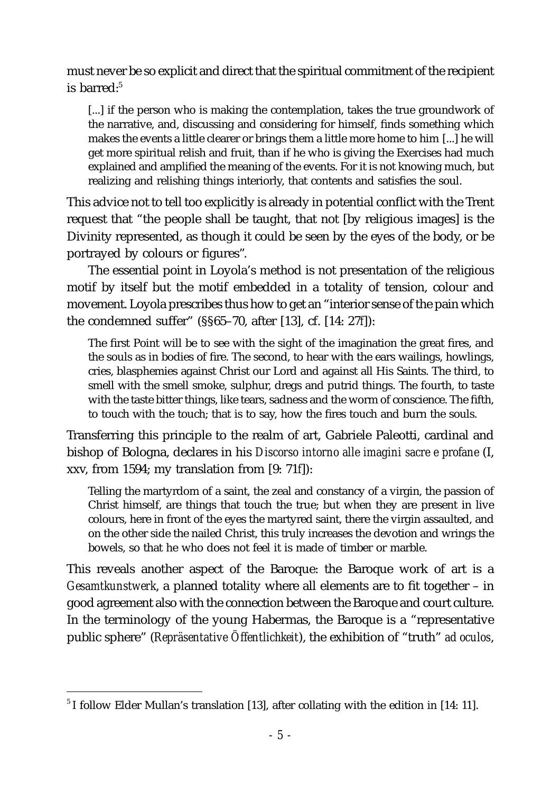must never be so explicit and direct that the spiritual commitment of the recipient is barred:<sup>5</sup>

[...] if the person who is making the contemplation, takes the true groundwork of the narrative, and, discussing and considering for himself, finds something which makes the events a little clearer or brings them a little more home to him [...] he will get more spiritual relish and fruit, than if he who is giving the Exercises had much explained and amplified the meaning of the events. For it is not knowing much, but realizing and relishing things interiorly, that contents and satisfies the soul.

This advice not to tell too explicitly is already in potential conflict with the Trent request that "the people shall be taught, that not [by religious images] is the Divinity represented, as though it could be seen by the eyes of the body, or be portrayed by colours or figures".

The essential point in Loyola's method is not presentation of the religious motif by itself but the motif embedded in a totality of tension, colour and movement. Loyola prescribes thus how to get an "interior sense of the pain which the condemned suffer" (§§65–70, after [13], cf. [14: 27*f*]):

The first Point will be to see with the sight of the imagination the great fires, and the souls as in bodies of fire. The second, to hear with the ears wailings, howlings, cries, blasphemies against Christ our Lord and against all His Saints. The third, to smell with the smell smoke, sulphur, dregs and putrid things. The fourth, to taste with the taste bitter things, like tears, sadness and the worm of conscience. The fifth, to touch with the touch; that is to say, how the fires touch and burn the souls.

Transferring this principle to the realm of art, Gabriele Paleotti, cardinal and bishop of Bologna, declares in his *Discorso intorno alle imagini sacre e profane* (I, xxv, from 1594; my translation from [9: 71*f*]):

Telling the martyrdom of a saint, the zeal and constancy of a virgin, the passion of Christ himself, are things that touch the true; but when they are present in live colours, here in front of the eyes the martyred saint, there the virgin assaulted, and on the other side the nailed Christ, this truly increases the devotion and wrings the bowels, so that he who does not feel it is made of timber or marble.

This reveals another aspect of the Baroque: the Baroque work of art is a *Gesamtkunstwerk*, a planned totality where all elements are to fit together – in good agreement also with the connection between the Baroque and court culture. In the terminology of the young Habermas, the Baroque is a "representative public sphere" (*Repräsentative Öffentlichkeit*), the exhibition of "truth" *ad oculos*,

<sup>&</sup>lt;sup>5</sup> I follow Elder Mullan's translation [13], after collating with the edition in [14: 11].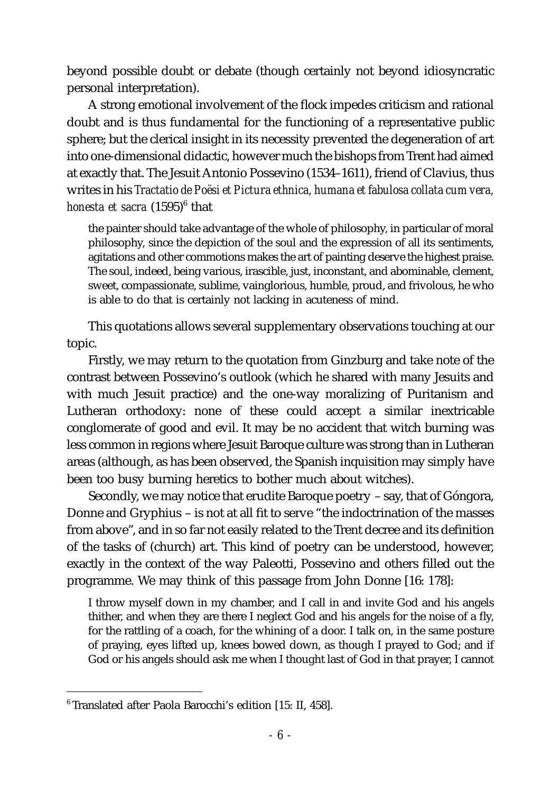beyond possible doubt or debate (though certainly not beyond idiosyncratic personal interpretation).

A strong emotional involvement of the flock impedes criticism and rational doubt and is thus fundamental for the functioning of a representative public sphere; but the clerical insight in its necessity prevented the degeneration of art into one-dimensional didactic, however much the bishops from Trent had aimed at exactly that. The Jesuit Antonio Possevino (1534–1611), friend of Clavius, thus writes in his *Tractatio de Poësi et Pictura ethnica, humana et fabulosa collata cum vera, honesta et sacra* (1595)<sup>6</sup> that

the painter should take advantage of the whole of philosophy, in particular of moral philosophy, since the depiction of the soul and the expression of all its sentiments, agitations and other commotions makes the art of painting deserve the highest praise. The soul, indeed, being various, irascible, just, inconstant, and abominable, clement, sweet, compassionate, sublime, vainglorious, humble, proud, and frivolous, he who is able to do that is certainly not lacking in acuteness of mind.

This quotations allows several supplementary observations touching at our topic.

Firstly, we may return to the quotation from Ginzburg and take note of the contrast between Possevino's outlook (which he shared with many Jesuits and with much Jesuit practice) and the one-way moralizing of Puritanism and Lutheran orthodoxy: none of these could accept a similar inextricable conglomerate of good and evil. It may be no accident that witch burning was less common in regions where Jesuit Baroque culture was strong than in Lutheran areas (although, as has been observed, the Spanish inquisition may simply have been too busy burning heretics to bother much about witches).

Secondly, we may notice that erudite Baroque poetry – say, that of Góngora, Donne and Gryphius – is not at all fit to serve "the indoctrination of the masses from above", and in so far not easily related to the Trent decree and its definition of the tasks of (church) art. This kind of poetry can be understood, however, exactly in the context of the way Paleotti, Possevino and others filled out the programme. We may think of this passage from John Donne [16: 178]:

I throw myself down in my chamber, and I call in and invite God and his angels thither, and when they are there I neglect God and his angels for the noise of a fly, for the rattling of a coach, for the whining of a door. I talk on, in the same posture of praying, eyes lifted up, knees bowed down, as though I prayed to God; and if God or his angels should ask me when I thought last of God in that prayer, I cannot

<sup>6</sup> Translated after Paola Barocchi's edition [15: II, 458].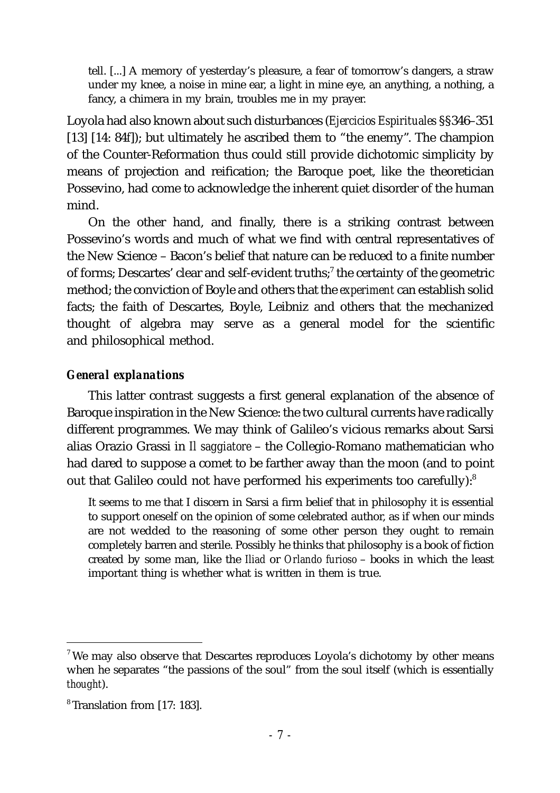tell. [...] A memory of yesterday's pleasure, a fear of tomorrow's dangers, a straw under my knee, a noise in mine ear, a light in mine eye, an anything, a nothing, a fancy, a chimera in my brain, troubles me in my prayer.

Loyola had also known about such disturbances (*Ejercicios Espirituales* §§346–351 [13] [14: 84*f*]); but ultimately he ascribed them to "the enemy". The champion of the Counter-Reformation thus could still provide dichotomic simplicity by means of projection and reification; the Baroque poet, like the theoretician Possevino, had come to acknowledge the inherent quiet disorder of the human mind.

On the other hand, and finally, there is a striking contrast between Possevino's words and much of what we find with central representatives of the New Science – Bacon's belief that nature can be reduced to a finite number of forms; Descartes' clear and self-evident truths;<sup>7</sup> the certainty of the geometric method; the conviction of Boyle and others that the *experiment* can establish solid facts; the faith of Descartes, Boyle, Leibniz and others that the mechanized thought of algebra may serve as a general model for the scientific and philosophical method.

## *General explanations*

This latter contrast suggests a first general explanation of the absence of Baroque inspiration in the New Science: the two cultural currents have radically different programmes. We may think of Galileo's vicious remarks about Sarsi alias Orazio Grassi in *Il saggiatore* – the Collegio-Romano mathematician who had dared to suppose a comet to be farther away than the moon (and to point out that Galileo could not have performed his experiments too carefully):<sup>8</sup>

It seems to me that I discern in Sarsi a firm belief that in philosophy it is essential to support oneself on the opinion of some celebrated author, as if when our minds are not wedded to the reasoning of some other person they ought to remain completely barren and sterile. Possibly he thinks that philosophy is a book of fiction created by some man, like the *Iliad* or *Orlando furioso* – books in which the least important thing is whether what is written in them is true.

<sup>&</sup>lt;sup>7</sup> We may also observe that Descartes reproduces Loyola's dichotomy by other means when he separates "the passions of the soul" from the soul itself (which is essentially *thought*).

<sup>8</sup> Translation from [17: 183].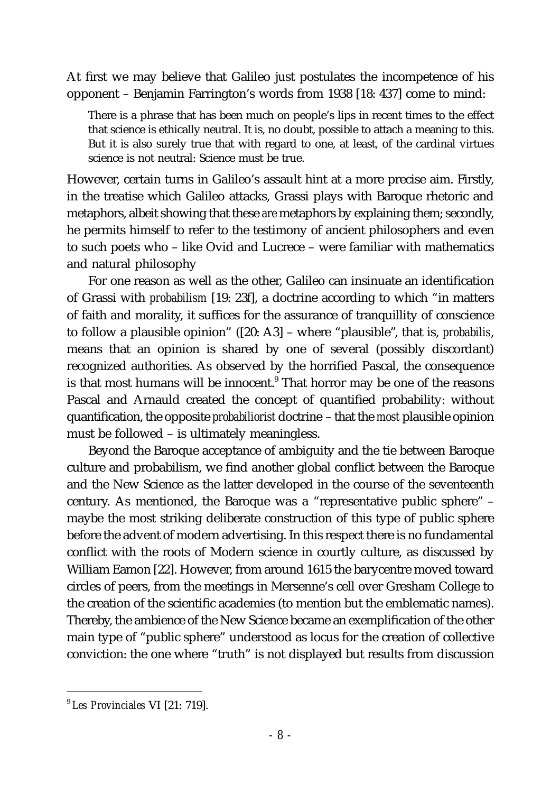At first we may believe that Galileo just postulates the incompetence of his opponent – Benjamin Farrington's words from 1938 [18: 437] come to mind:

There is a phrase that has been much on people's lips in recent times to the effect that science is ethically neutral. It is, no doubt, possible to attach a meaning to this. But it is also surely true that with regard to one, at least, of the cardinal virtues science is not neutral: Science must be true.

However, certain turns in Galileo's assault hint at a more precise aim. Firstly, in the treatise which Galileo attacks, Grassi plays with Baroque rhetoric and metaphors, albeit showing that these *are* metaphors by explaining them; secondly, he permits himself to refer to the testimony of ancient philosophers and even to such poets who – like Ovid and Lucrece – were familiar with mathematics and natural philosophy

For one reason as well as the other, Galileo can insinuate an identification of Grassi with *probabilism* [19: 23*f*], a doctrine according to which "in matters of faith and morality, it suffices for the assurance of tranquillity of conscience to follow a plausible opinion" ([20: A3] – where "plausible", that is, *probabilis*, means that an opinion is shared by one of several (possibly discordant) recognized authorities. As observed by the horrified Pascal, the consequence is that most humans will be innocent.<sup>9</sup> That horror may be one of the reasons Pascal and Arnauld created the concept of quantified probability: without quantification, the opposite *probabiliorist* doctrine – that the *most* plausible opinion must be followed – is ultimately meaningless.

Beyond the Baroque acceptance of ambiguity and the tie between Baroque culture and probabilism, we find another global conflict between the Baroque and the New Science as the latter developed in the course of the seventeenth century. As mentioned, the Baroque was a "representative public sphere" – maybe the most striking deliberate construction of this type of public sphere before the advent of modern advertising. In this respect there is no fundamental conflict with the roots of Modern science in courtly culture, as discussed by William Eamon [22]. However, from around 1615 the barycentre moved toward circles of peers, from the meetings in Mersenne's cell over Gresham College to the creation of the scientific academies (to mention but the emblematic names). Thereby, the ambience of the New Science became an exemplification of the other main type of "public sphere" understood as locus for the creation of collective conviction: the one where "truth" is not displayed but results from discussion

<sup>9</sup> *Les Provinciales* VI [21: 719].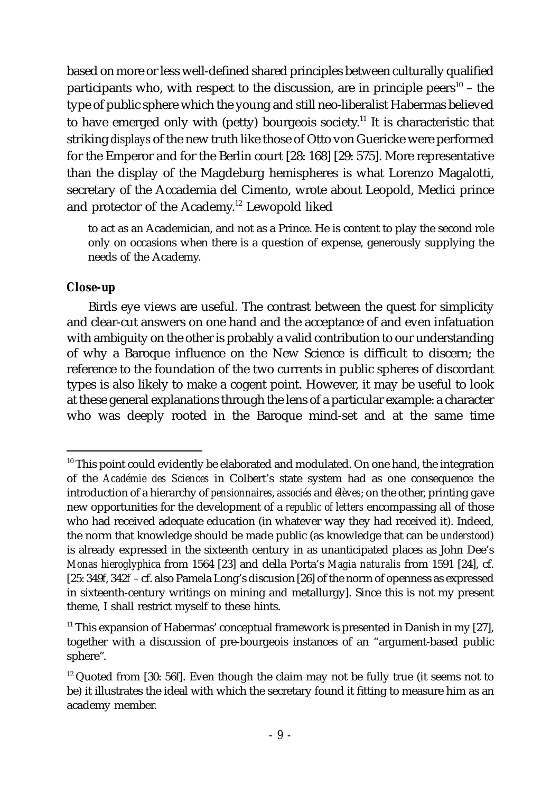based on more or less well-defined shared principles between culturally qualified participants who, with respect to the discussion, are in principle peers<sup>10</sup> – the type of public sphere which the young and still neo-liberalist Habermas believed to have emerged only with (petty) bourgeois society.<sup>11</sup> It is characteristic that striking *displays* of the new truth like those of Otto von Guericke were performed for the Emperor and for the Berlin court [28: 168] [29: 575]. More representative than the display of the Magdeburg hemispheres is what Lorenzo Magalotti, secretary of the Accademia del Cimento, wrote about Leopold, Medici prince and protector of the Academy.<sup>12</sup> Lewopold liked

to act as an Academician, and not as a Prince. He is content to play the second role only on occasions when there is a question of expense, generously supplying the needs of the Academy.

## *Close-up*

Birds eye views are useful. The contrast between the quest for simplicity and clear-cut answers on one hand and the acceptance of and even infatuation with ambiguity on the other is probably a valid contribution to our understanding of why a Baroque influence on the New Science is difficult to discern; the reference to the foundation of the two currents in public spheres of discordant types is also likely to make a cogent point. However, it may be useful to look at these general explanations through the lens of a particular example: a character who was deeply rooted in the Baroque mind-set and at the same time

 $10$  This point could evidently be elaborated and modulated. On one hand, the integration of the *Académie des Sciences* in Colbert's state system had as one consequence the introduction of a hierarchy of *pensionnaires*, *associés* and *élèves*; on the other, printing gave new opportunities for the development of a *republic of letters* encompassing all of those who had received adequate education (in whatever way they had received it). Indeed, the norm that knowledge should be made public (as knowledge that can be *understood*) is already expressed in the sixteenth century in as unanticipated places as John Dee's *Monas hieroglyphica* from 1564 [23] and della Porta's *Magia naturalis* from 1591 [24], cf. [25: 349*f*, 342*f* – cf. also Pamela Long's discusion [26] of the norm of openness as expressed in sixteenth-century writings on mining and metallurgy]. Since this is not my present theme, I shall restrict myself to these hints.

<sup>&</sup>lt;sup>11</sup> This expansion of Habermas' conceptual framework is presented in Danish in my [27], together with a discussion of pre-bourgeois instances of an "argument-based public sphere".

<sup>&</sup>lt;sup>12</sup> Quoted from [30: 56*f*]. Even though the claim may not be fully true (it seems not to be) it illustrates the ideal with which the secretary found it fitting to measure him as an academy member.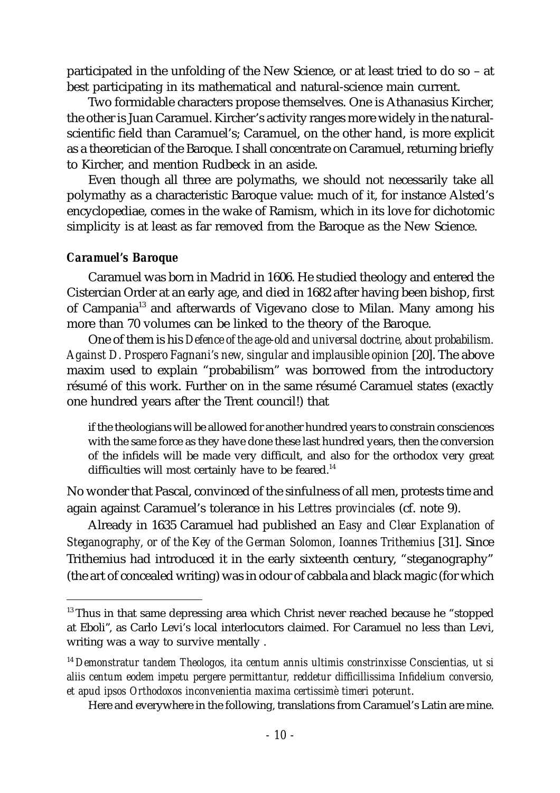participated in the unfolding of the New Science, or at least tried to do so – at best participating in its mathematical and natural-science main current.

Two formidable characters propose themselves. One is Athanasius Kircher, the other is Juan Caramuel. Kircher's activity ranges more widely in the naturalscientific field than Caramuel's; Caramuel, on the other hand, is more explicit as a theoretician of the Baroque. I shall concentrate on Caramuel, returning briefly to Kircher, and mention Rudbeck in an aside.

Even though all three are polymaths, we should not necessarily take all polymathy as a characteristic Baroque value: much of it, for instance Alsted's encyclopediae, comes in the wake of Ramism, which in its love for dichotomic simplicity is at least as far removed from the Baroque as the New Science.

#### *Caramuel's Baroque*

Caramuel was born in Madrid in 1606. He studied theology and entered the Cistercian Order at an early age, and died in 1682 after having been bishop, first of Campania<sup>13</sup> and afterwards of Vigevano close to Milan. Many among his more than 70 volumes can be linked to the theory of the Baroque.

One of them is his *Defence of the age-old and universal doctrine, about probabilism. Against D. Prospero Fagnani's new, singular and implausible opinion* [20]. The above maxim used to explain "probabilism" was borrowed from the introductory résumé of this work. Further on in the same résumé Caramuel states (exactly one hundred years after the Trent council!) that

if the theologians will be allowed for another hundred years to constrain consciences with the same force as they have done these last hundred years, then the conversion of the infidels will be made very difficult, and also for the orthodox very great difficulties will most certainly have to be feared.<sup>14</sup>

No wonder that Pascal, convinced of the sinfulness of all men, protests time and again against Caramuel's tolerance in his *Lettres provinciales* (cf. note 9).

Already in 1635 Caramuel had published an *Easy and Clear Explanation of Steganography, or of the Key of the German Solomon, Ioannes Trithemius* [31]. Since Trithemius had introduced it in the early sixteenth century, "steganography" (the art of concealed writing) was in odour of cabbala and black magic (for which

<sup>&</sup>lt;sup>13</sup> Thus in that same depressing area which Christ never reached because he "stopped at Eboli", as Carlo Levi's local interlocutors claimed. For Caramuel no less than Levi, writing was a way to survive mentally .

<sup>14</sup> *Demonstratur tandem Theologos, ita centum annis ultimis constrinxisse Conscientias, ut si aliis centum eodem impetu pergere permittantur, reddetur difficillissima Infidelium conversio, et apud ipsos Orthodoxos inconvenientia maxima certissimè timeri poterunt*.

Here and everywhere in the following, translations from Caramuel's Latin are mine.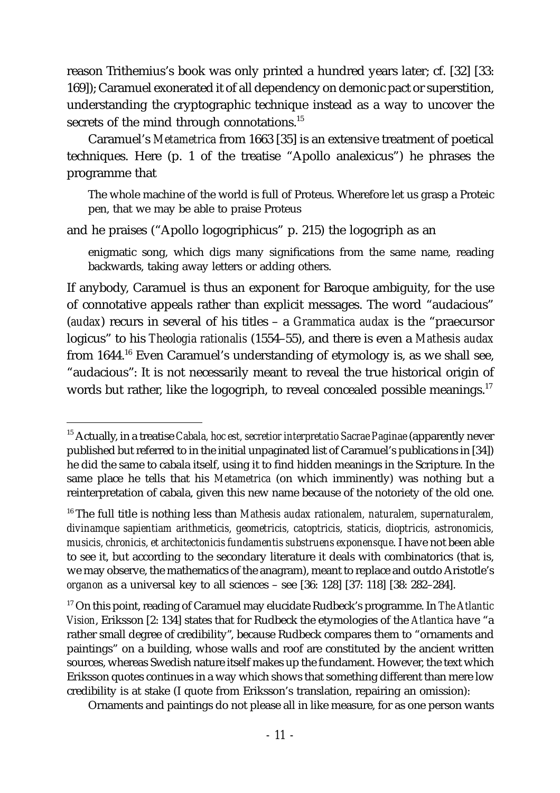reason Trithemius's book was only printed a hundred years later; cf. [32] [33: 169]); Caramuel exonerated it of all dependency on demonic pact or superstition, understanding the cryptographic technique instead as a way to uncover the secrets of the mind through connotations.<sup>15</sup>

Caramuel's *Metametrica* from 1663 [35] is an extensive treatment of poetical techniques. Here (p. 1 of the treatise "Apollo analexicus") he phrases the programme that

The whole machine of the world is full of Proteus. Wherefore let us grasp a Proteic pen, that we may be able to praise Proteus

and he praises ("Apollo logogriphicus" p. 215) the logogriph as an

enigmatic song, which digs many significations from the same name, reading backwards, taking away letters or adding others.

If anybody, Caramuel is thus an exponent for Baroque ambiguity, for the use of connotative appeals rather than explicit messages. The word "audacious" (*audax*) recurs in several of his titles – a *Grammatica audax* is the "praecursor logicus" to his *Theologia rationalis* (1554–55), and there is even a *Mathesis audax* from 1644.<sup>16</sup> Even Caramuel's understanding of etymology is, as we shall see, "audacious": It is not necessarily meant to reveal the true historical origin of words but rather, like the logogriph, to reveal concealed possible meanings.<sup>17</sup>

Ornaments and paintings do not please all in like measure, for as one person wants

<sup>15</sup> Actually, in a treatise *Cabala, hoc est, secretior interpretatio Sacrae Paginae* (apparently never published but referred to in the initial unpaginated list of Caramuel's publications in [34]) he did the same to cabala itself, using it to find hidden meanings in the Scripture. In the same place he tells that his *Metametrica* (on which imminently) was nothing but a reinterpretation of cabala, given this new name because of the notoriety of the old one.

<sup>16</sup> The full title is nothing less than *Mathesis audax rationalem, naturalem, supernaturalem, divinamque sapientiam arithmeticis, geometricis, catoptricis, staticis, dioptricis, astronomicis, musicis, chronicis, et architectonicis fundamentis substruens exponensque*. I have not been able to see it, but according to the secondary literature it deals with combinatorics (that is, we may observe, the mathematics of the anagram), meant to replace and outdo Aristotle's *organon* as a universal key to all sciences – see [36: 128] [37: 118] [38: 282–284].

<sup>17</sup> On this point, reading of Caramuel may elucidate Rudbeck's programme. In *The Atlantic Vision*, Eriksson [2: 134] states that for Rudbeck the etymologies of the *Atlantica* have "a rather small degree of credibility", because Rudbeck compares them to "ornaments and paintings" on a building, whose walls and roof are constituted by the ancient written sources, whereas Swedish nature itself makes up the fundament. However, the text which Eriksson quotes continues in a way which shows that something different than mere low credibility is at stake (I quote from Eriksson's translation, repairing an omission):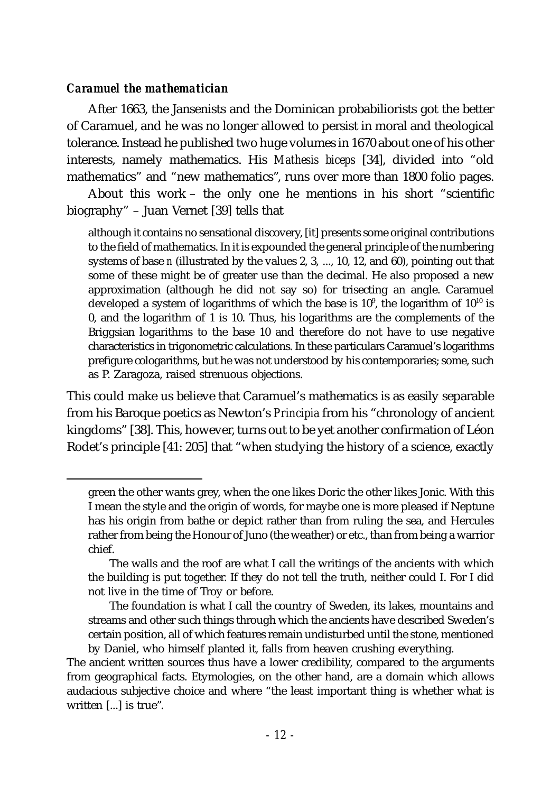#### *Caramuel the mathematician*

After 1663, the Jansenists and the Dominican probabiliorists got the better of Caramuel, and he was no longer allowed to persist in moral and theological tolerance. Instead he published two huge volumes in 1670 about one of his other interests, namely mathematics. His *Mathesis biceps* [34], divided into "old mathematics" and "new mathematics", runs over more than 1800 folio pages.

About this work – the only one he mentions in his short "scientific biography" – Juan Vernet [39] tells that

although it contains no sensational discovery, [it] presents some original contributions to the field of mathematics. In it is expounded the general principle of the numbering systems of base *n* (illustrated by the values 2, 3, ..., 10, 12, and 60), pointing out that some of these might be of greater use than the decimal. He also proposed a new approximation (although he did not say so) for trisecting an angle. Caramuel developed a system of logarithms of which the base is  $10^9$ , the logarithm of  $10^{10}$  is 0, and the logarithm of 1 is 10. Thus, his logarithms are the complements of the Briggsian logarithms to the base 10 and therefore do not have to use negative characteristics in trigonometric calculations. In these particulars Caramuel's logarithms prefigure cologarithms, but he was not understood by his contemporaries; some, such as P. Zaragoza, raised strenuous objections.

This could make us believe that Caramuel's mathematics is as easily separable from his Baroque poetics as Newton's *Principia* from his "chronology of ancient kingdoms" [38]. This, however, turns out to be yet another confirmation of Léon Rodet's principle [41: 205] that "when studying the history of a science, exactly

green the other wants grey, when the one likes Doric the other likes Jonic. With this I mean the style and the origin of words, for maybe one is more pleased if Neptune has his origin from bathe or depict rather than from ruling the sea, and Hercules rather from being the Honour of Juno (the weather) or etc., than from being a warrior chief.

The walls and the roof are what I call the writings of the ancients with which the building is put together. If they do not tell the truth, neither could I. For I did not live in the time of Troy or before.

The foundation is what I call the country of Sweden, its lakes, mountains and streams and other such things through which the ancients have described Sweden's certain position, all of which features remain undisturbed until the stone, mentioned by Daniel, who himself planted it, falls from heaven crushing everything.

The ancient written sources thus have a lower credibility, compared to the arguments from geographical facts. Etymologies, on the other hand, are a domain which allows audacious subjective choice and where "the least important thing is whether what is written [...] is true".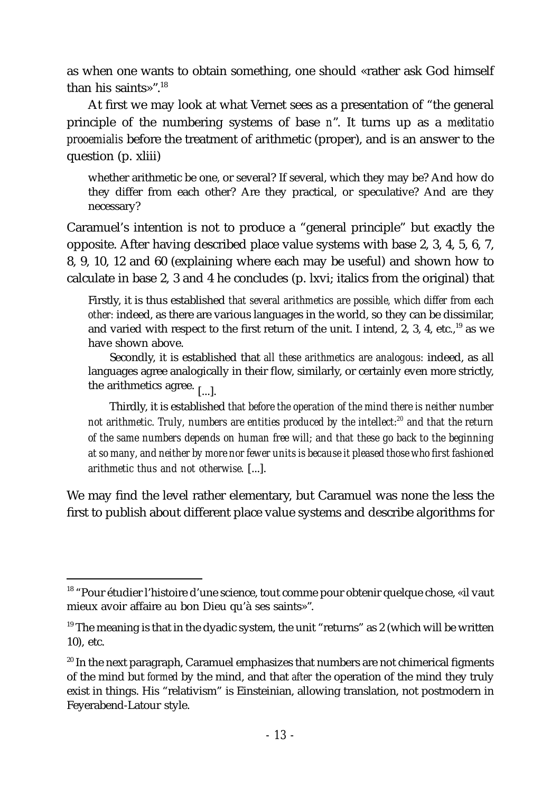as when one wants to obtain something, one should «rather ask God himself than his saints»"<sup>18</sup>

At first we may look at what Vernet sees as a presentation of "the general principle of the numbering systems of base *n*". It turns up as a *meditatio prooemialis* before the treatment of arithmetic (proper), and is an answer to the question (p. xliii)

whether arithmetic be one, or several? If several, which they may be? And how do they differ from each other? Are they practical, or speculative? And are they necessary?

Caramuel's intention is not to produce a "general principle" but exactly the opposite. After having described place value systems with base 2, 3, 4, 5, 6, 7, 8, 9, 10, 12 and 60 (explaining where each may be useful) and shown how to calculate in base 2, 3 and 4 he concludes (p. lxvi; italics from the original) that

Firstly, it is thus established *that several arithmetics are possible, which differ from each other:* indeed, as there are various languages in the world, so they can be dissimilar, and varied with respect to the first return of the unit. I intend, 2, 3, 4, etc., $19$  as we have shown above.

Secondly, it is established that *all these arithmetics are analogous:* indeed, as all languages agree analogically in their flow, similarly, or certainly even more strictly, the arithmetics agree. [...].

Thirdly, it is established *that before the operation of the mind there is neither number not arithmetic. Truly, numbers are entities produced by the intellect:20 and that the return of the same numbers depends on human free will; and that these go back to the beginning at so many, and neither by more nor fewer units is because it pleased those who first fashioned arithmetic thus and not otherwise.* [...].

We may find the level rather elementary, but Caramuel was none the less the first to publish about different place value systems and describe algorithms for

<sup>18</sup> "Pour étudier l'histoire d'une science, tout comme pour obtenir quelque chose, «il vaut mieux avoir affaire au bon Dieu qu'à ses saints»".

 $19$ <sup>19</sup> The meaning is that in the dyadic system, the unit "returns" as 2 (which will be written 10), etc.

 $20$  In the next paragraph, Caramuel emphasizes that numbers are not chimerical figments of the mind but *formed* by the mind, and that *after* the operation of the mind they truly exist in things. His "relativism" is Einsteinian, allowing translation, not postmodern in Feyerabend-Latour style.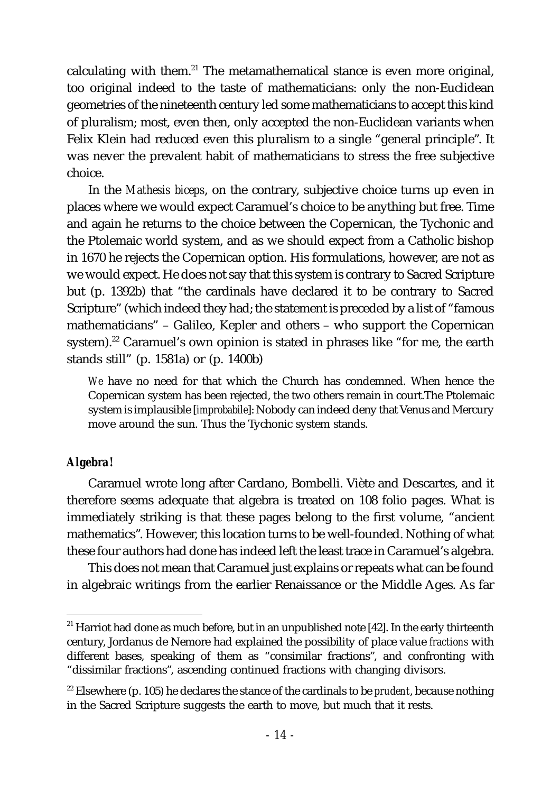calculating with them.<sup>21</sup> The metamathematical stance is even more original, too original indeed to the taste of mathematicians: only the non-Euclidean geometries of the nineteenth century led some mathematicians to accept this kind of pluralism; most, even then, only accepted the non-Euclidean variants when Felix Klein had reduced even this pluralism to a single "general principle". It was never the prevalent habit of mathematicians to stress the free subjective choice.

In the *Mathesis biceps*, on the contrary, subjective choice turns up even in places where we would expect Caramuel's choice to be anything but free. Time and again he returns to the choice between the Copernican, the Tychonic and the Ptolemaic world system, and as we should expect from a Catholic bishop in 1670 he rejects the Copernican option. His formulations, however, are not as we would expect. He does not say that this system is contrary to Sacred Scripture but (p. 1392b) that "the cardinals have declared it to be contrary to Sacred Scripture" (which indeed they had; the statement is preceded by a list of "famous mathematicians" – Galileo, Kepler and others – who support the Copernican system).<sup>22</sup> Caramuel's own opinion is stated in phrases like "for me, the earth stands still" (p. 1581a) or (p. 1400b)

*We* have no need for that which the Church has condemned. When hence the Copernican system has been rejected, the two others remain in court.The Ptolemaic system is implausible [*improbabile*]: Nobody can indeed deny that Venus and Mercury move around the sun. Thus the Tychonic system stands.

# *Algebra!*

Caramuel wrote long after Cardano, Bombelli. Viète and Descartes, and it therefore seems adequate that algebra is treated on 108 folio pages. What is immediately striking is that these pages belong to the first volume, "ancient mathematics". However, this location turns to be well-founded. Nothing of what these four authors had done has indeed left the least trace in Caramuel's algebra.

This does not mean that Caramuel just explains or repeats what can be found in algebraic writings from the earlier Renaissance or the Middle Ages. As far

 $21$  Harriot had done as much before, but in an unpublished note [42]. In the early thirteenth century, Jordanus de Nemore had explained the possibility of place value *fractions* with different bases, speaking of them as "consimilar fractions", and confronting with "dissimilar fractions", ascending continued fractions with changing divisors.

<sup>22</sup> Elsewhere (p. 105) he declares the stance of the cardinals to be *prudent*, because nothing in the Sacred Scripture suggests the earth to move, but much that it rests.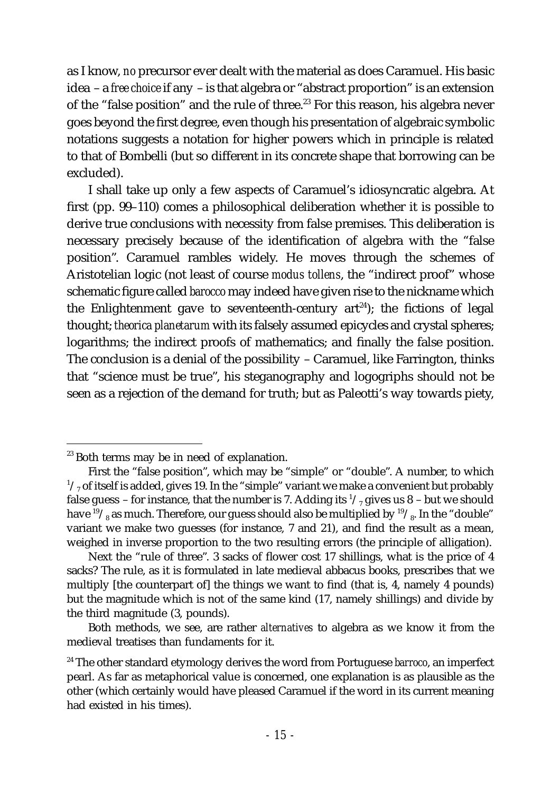as I know, *no* precursor ever dealt with the material as does Caramuel. His basic idea – a *free choice* if any – is that algebra or "abstract proportion" is an extension of the "false position" and the rule of three.<sup>23</sup> For this reason, his algebra never goes beyond the first degree, even though his presentation of algebraic symbolic notations suggests a notation for higher powers which in principle is related to that of Bombelli (but so different in its concrete shape that borrowing can be excluded).

I shall take up only a few aspects of Caramuel's idiosyncratic algebra. At first (pp. 99–110) comes a philosophical deliberation whether it is possible to derive true conclusions with necessity from false premises. This deliberation is necessary precisely because of the identification of algebra with the "false position". Caramuel rambles widely. He moves through the schemes of Aristotelian logic (not least of course *modus tollens*, the "indirect proof" whose schematic figure called *barocco* may indeed have given rise to the nickname which the Enlightenment gave to seventeenth-century  $art^{24}$ ; the fictions of legal thought; *theorica planetarum* with its falsely assumed epicycles and crystal spheres; logarithms; the indirect proofs of mathematics; and finally the false position. The conclusion is a denial of the possibility – Caramuel, like Farrington, thinks that "science must be true", his steganography and logogriphs should not be seen as a rejection of the demand for truth; but as Paleotti's way towards piety,

 $23$  Both terms may be in need of explanation.

First the "false position", which may be "simple" or "double". A number, to which  $^{1}/_{7}$  of itself is added, gives 19. In the "simple" variant we make a convenient but probably false guess – for instance, that the number is 7. Adding its  $^{1}/_{7}$  gives us 8 – but we should have  $19/8$  as much. Therefore, our guess should also be multiplied by  $19/8$ . In the "double" variant we make two guesses (for instance, 7 and 21), and find the result as a mean, weighed in inverse proportion to the two resulting errors (the principle of alligation).

Next the "rule of three". 3 sacks of flower cost 17 shillings, what is the price of 4 sacks? The rule, as it is formulated in late medieval abbacus books, prescribes that we multiply [the counterpart of] the things we want to find (that is, 4, namely 4 pounds) but the magnitude which is not of the same kind (17, namely shillings) and divide by the third magnitude (3, pounds).

Both methods, we see, are rather *alternatives* to algebra as we know it from the medieval treatises than fundaments for it.

<sup>&</sup>lt;sup>24</sup> The other standard etymology derives the word from Portuguese *barroco*, an imperfect pearl. As far as metaphorical value is concerned, one explanation is as plausible as the other (which certainly would have pleased Caramuel if the word in its current meaning had existed in his times).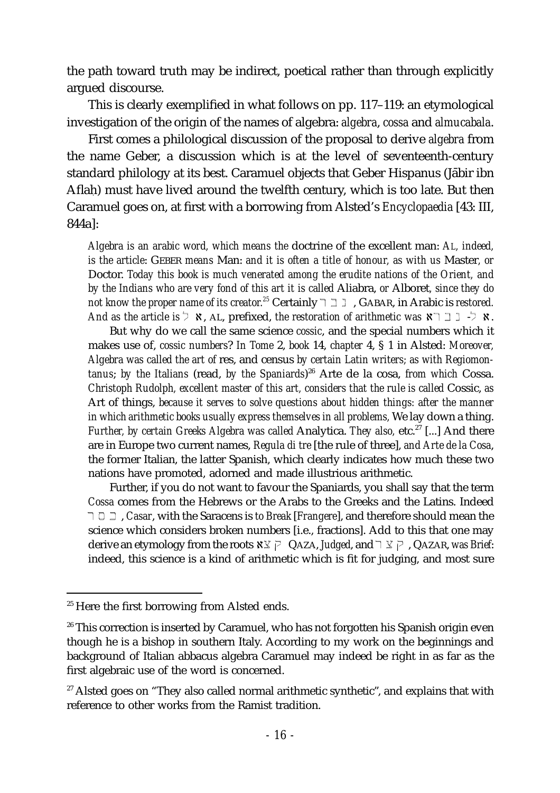the path toward truth may be indirect, poetical rather than through explicitly argued discourse.

This is clearly exemplified in what follows on pp. 117–119: an etymological investigation of the origin of the names of algebra: *algebra*, *cossa* and *almucabala*.

First comes a philological discussion of the proposal to derive *algebra* from the name Geber, a discussion which is at the level of seventeenth-century standard philology at its best. Caramuel objects that Geber Hispanus (Jābir ibn Aflah) must have lived around the twelfth century, which is too late. But then Caramuel goes on, at first with a borrowing from Alsted's *Encyclopaedia* [43: III, 844a]:

*Algebra is an arabic word, which means the* doctrine of the excellent man: *AL, indeed, is the article*: GEBER *means* Man: *and it is often a title of honour, as with us* Master*, or* Doctor. *Today this book is much venerated among the erudite nations of the Orient, and by the Indians who are very fond of this art it is called* Aliabra, *or* Alboret*, since they do not know the proper name of its creator.<sup>25</sup>* Certainly , GABAR, in Arabic is *restored. And as the article is*  $\bar{z} \times R$ , AL, prefixed, *the restoration of arithmetic was*  $R \bar{z} \leq \bar{z} \times R$ .

But why do we call the same science *cossic*, and the special numbers which it makes use of, *cossic numbers*? *In Tome* 2, *book* 14, *chapter* 4, § 1 in Alsted: *Moreover, Algebra was called the art of* res, and census *by certain Latin writers; as with Regiomontanus*; *by the Italians* (read, *by the Spaniards*) <sup>26</sup> Arte de la cosa, *from which* Cossa. *Christoph Rudolph, excellent master of this art, considers that the rule is called* Cossic, *as* Art of things, *because it serves to solve questions about hidden things: after the manner in which arithmetic books usually express themselves in all problems,* We lay down a thing. *Further, by certain Greeks Algebra was called Analytica. They also, etc.*<sup>27</sup> [...] And there are in Europe two current names, *Regula di tre* [the rule of three], *and Arte de la Cosa*, the former Italian, the latter Spanish, which clearly indicates how much these two nations have promoted, adorned and made illustrious arithmetic.

Further, if you do not want to favour the Spaniards, you shall say that the term *Cossa* comes from the Hebrews or the Arabs to the Greeks and the Latins. Indeed , *Casar*, with the Saracens is *to Break* [*Frangere*], and therefore should mean the science which considers broken numbers [i.e., fractions]. Add to this that one may derive an etymology from the roots  $\mathbf{X} \subseteq \mathbb{R}$  QAZA, *Judged*, and  $\exists \subseteq \mathbb{R}$ , QAZAR, *was Brief*: indeed, this science is a kind of arithmetic which is fit for judging, and most sure

 $25$  Here the first borrowing from Alsted ends.

<sup>&</sup>lt;sup>26</sup> This correction is inserted by Caramuel, who has not forgotten his Spanish origin even though he is a bishop in southern Italy. According to my work on the beginnings and background of Italian abbacus algebra Caramuel may indeed be right in as far as the first algebraic use of the word is concerned.

 $27$  Alsted goes on "They also called normal arithmetic synthetic", and explains that with reference to other works from the Ramist tradition.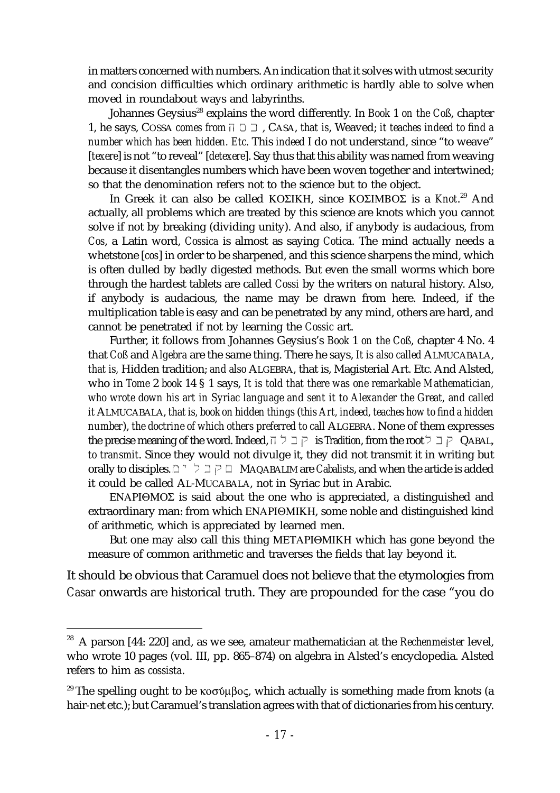in matters concerned with numbers. An indication that it solves with utmost security and concision difficulties which ordinary arithmetic is hardly able to solve when moved in roundabout ways and labyrinths.

Johannes Geysius<sup>28</sup> explains the word differently. In *Book* 1 *on the Coß*, chapter 1, he says, COSSA *comes from*  $\overline{u}$   $\overline{v}$  , CASA, *that is*, Weaved; *it teaches indeed to find a number which has been hidden. Etc.* This *indeed* I do not understand, since "to weave" [*texere*] is not "to reveal" [*detexere*]. Say thus that this ability was named from weaving because it disentangles numbers which have been woven together and intertwined; so that the denomination refers not to the science but to the object.

In Greek it can also be called ΚΟΣΙΚΗ, since ΚΟΣΙΜΒΟΣ is a *Knot*. <sup>29</sup> And actually, all problems which are treated by this science are knots which you cannot solve if not by breaking (dividing unity). And also, if anybody is audacious, from *Cos*, a Latin word, *Cossica* is almost as saying *Cotica*. The mind actually needs a whetstone [*cos*] in order to be sharpened, and this science sharpens the mind, which is often dulled by badly digested methods. But even the small worms which bore through the hardest tablets are called *Cossi* by the writers on natural history. Also, if anybody is audacious, the name may be drawn from here. Indeed, if the multiplication table is easy and can be penetrated by any mind, others are hard, and cannot be penetrated if not by learning the *Cossic* art.

Further, it follows from Johannes Geysius's *Book* 1 *on the Coß*, chapter 4 No. 4 that *Coß* and *Algebra* are the same thing. There he says, *It is also called* ALMUCABALA, *that is,* Hidden tradition; *and also* ALGEBRA, that is, Magisterial Art. Etc. And Alsted, who in *Tome* 2 *book* 14 § 1 says, *It is told that there was one remarkable Mathematician, who wrote down his art in Syriac language and sent it to Alexander the Great, and called it* ALMUCABALA, *that is, book on hidden things* (*this Art, indeed, teaches how to find a hidden number*), *the doctrine of which others preferred to call* ALGEBRA. None of them expresses the precise meaning of the word. Indeed,  $\overline{u} \supseteq \overline{u}$  is Tradition, from the root  $\supseteq \overline{u}$  QABAL, *to transmit*. Since they would not divulge it, they did not transmit it in writing but orally to disciples.  $\Box \Box \Box \Box \Box \Box$  MAQABALIM are *Cabalists*, and when the article is added it could be called AL-MUCABALA, not in Syriac but in Arabic.

ΕΝΑΡΙΘΜΟΣ is said about the one who is appreciated, a distinguished and extraordinary man: from which ΕΝΑΡΙΘΜΙΚΗ, some noble and distinguished kind of arithmetic, which is appreciated by learned men.

But one may also call this thing ΜΕΤΑΡΙΘΜΙΚΗ which has gone beyond the measure of common arithmetic and traverses the fields that lay beyond it.

It should be obvious that Caramuel does not believe that the etymologies from *Casar* onwards are historical truth. They are propounded for the case "you do

<sup>28</sup> A parson [44: 220] and, as we see, amateur mathematician at the *Rechenmeister* level, who wrote 10 pages (vol. III, pp. 865–874) on algebra in Alsted's encyclopedia. Alsted refers to him as *cossista*.

<sup>&</sup>lt;sup>29</sup> The spelling ought to be κοσύμβος, which actually is something made from knots (a hair-net etc.); but Caramuel's translation agrees with that of dictionaries from his century.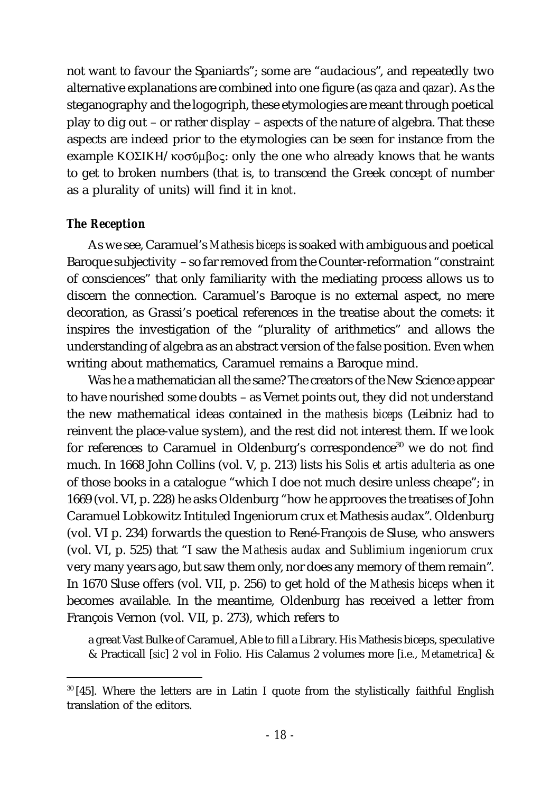not want to favour the Spaniards"; some are "audacious", and repeatedly two alternative explanations are combined into one figure (as *qaza* and *qazar*). As the steganography and the logogriph, these etymologies are meant through poetical play to dig out – or rather display – aspects of the nature of algebra. That these aspects are indeed prior to the etymologies can be seen for instance from the example ΚΟΣΙΚΗ/κοσύμβος: only the one who already knows that he wants to get to broken numbers (that is, to transcend the Greek concept of number as a plurality of units) will find it in *knot*.

## *The Reception*

As we see, Caramuel's *Mathesis biceps*is soaked with ambiguous and poetical Baroque subjectivity – so far removed from the Counter-reformation "constraint of consciences" that only familiarity with the mediating process allows us to discern the connection. Caramuel's Baroque is no external aspect, no mere decoration, as Grassi's poetical references in the treatise about the comets: it inspires the investigation of the "plurality of arithmetics" and allows the understanding of algebra as an abstract version of the false position. Even when writing about mathematics, Caramuel remains a Baroque mind.

Was he a mathematician all the same? The creators of the New Science appear to have nourished some doubts – as Vernet points out, they did not understand the new mathematical ideas contained in the *mathesis biceps* (Leibniz had to reinvent the place-value system), and the rest did not interest them. If we look for references to Caramuel in Oldenburg's correspondence<sup>30</sup> we do not find much. In 1668 John Collins (vol. V, p. 213) lists his *Solis et artis adulteria* as one of those books in a catalogue "which I doe not much desire unless cheape"; in 1669 (vol. VI, p. 228) he asks Oldenburg "how he approoves the treatises of John Caramuel Lobkowitz Intituled Ingeniorum crux et Mathesis audax". Oldenburg (vol. VI p. 234) forwards the question to René-François de Sluse, who answers (vol. VI, p. 525) that "I saw the *Mathesis audax* and *Sublimium ingeniorum crux* very many years ago, but saw them only, nor does any memory of them remain". In 1670 Sluse offers (vol. VII, p. 256) to get hold of the *Mathesis biceps* when it becomes available. In the meantime, Oldenburg has received a letter from François Vernon (vol. VII, p. 273), which refers to

a great Vast Bulke of Caramuel, Able to fill a Library. His Mathesis biceps, speculative & Practicall [*sic*] 2 vol in Folio. His Calamus 2 volumes more [i.e., *Metametrica*] &

 $30$  [45]. Where the letters are in Latin I quote from the stylistically faithful English translation of the editors.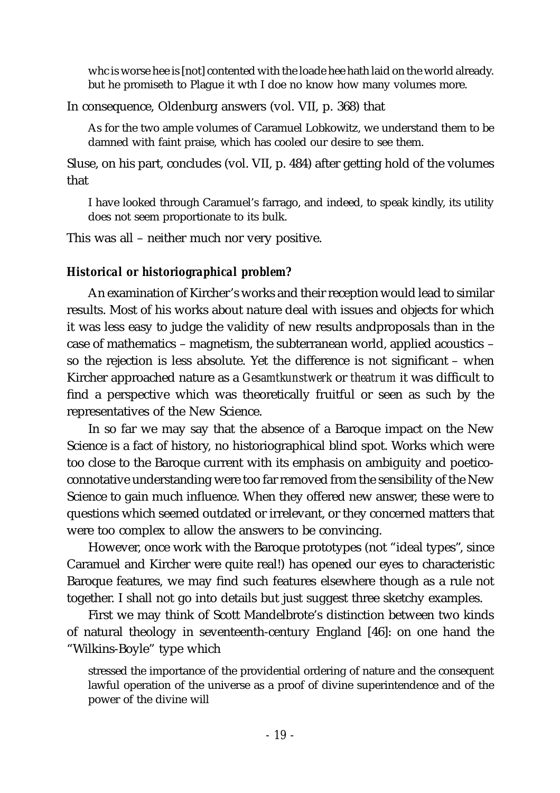whc is worse hee is [not] contented with the loade hee hath laid on the world already. but he promiseth to Plague it wth I doe no know how many volumes more.

In consequence, Oldenburg answers (vol. VII, p. 368) that

As for the two ample volumes of Caramuel Lobkowitz, we understand them to be damned with faint praise, which has cooled our desire to see them.

Sluse, on his part, concludes (vol. VII, p. 484) after getting hold of the volumes that

I have looked through Caramuel's farrago, and indeed, to speak kindly, its utility does not seem proportionate to its bulk.

This was all – neither much nor very positive.

# *Historical or historiographical problem?*

An examination of Kircher's works and their reception would lead to similar results. Most of his works about nature deal with issues and objects for which it was less easy to judge the validity of new results andproposals than in the case of mathematics – magnetism, the subterranean world, applied acoustics – so the rejection is less absolute. Yet the difference is not significant – when Kircher approached nature as a *Gesamtkunstwerk* or *theatrum* it was difficult to find a perspective which was theoretically fruitful or seen as such by the representatives of the New Science.

In so far we may say that the absence of a Baroque impact on the New Science is a fact of history, no historiographical blind spot. Works which were too close to the Baroque current with its emphasis on ambiguity and poeticoconnotative understanding were too far removed from the sensibility of the New Science to gain much influence. When they offered new answer, these were to questions which seemed outdated or irrelevant, or they concerned matters that were too complex to allow the answers to be convincing.

However, once work with the Baroque prototypes (not "ideal types", since Caramuel and Kircher were quite real!) has opened our eyes to characteristic Baroque features, we may find such features elsewhere though as a rule not together. I shall not go into details but just suggest three sketchy examples.

First we may think of Scott Mandelbrote's distinction between two kinds of natural theology in seventeenth-century England [46]: on one hand the "Wilkins-Boyle" type which

stressed the importance of the providential ordering of nature and the consequent lawful operation of the universe as a proof of divine superintendence and of the power of the divine will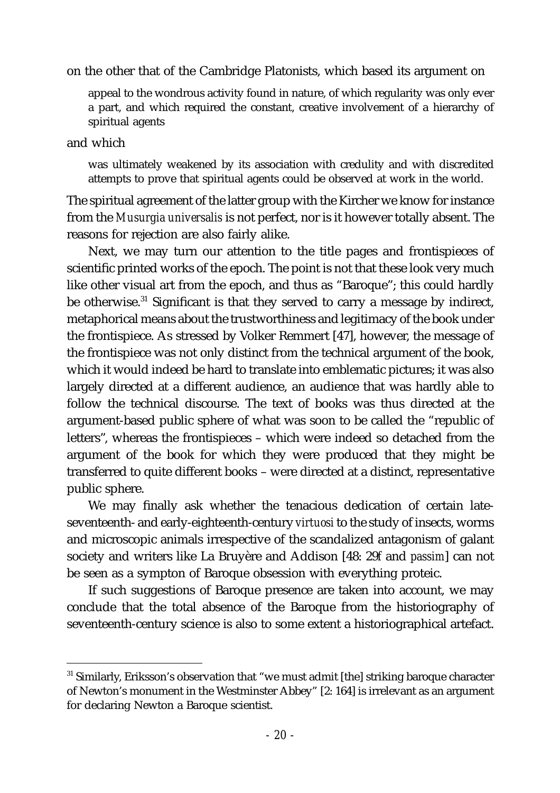on the other that of the Cambridge Platonists, which based its argument on

appeal to the wondrous activity found in nature, of which regularity was only ever a part, and which required the constant, creative involvement of a hierarchy of spiritual agents

and which

was ultimately weakened by its association with credulity and with discredited attempts to prove that spiritual agents could be observed at work in the world.

The spiritual agreement of the latter group with the Kircher we know for instance from the *Musurgia universalis* is not perfect, nor is it however totally absent. The reasons for rejection are also fairly alike.

Next, we may turn our attention to the title pages and frontispieces of scientific printed works of the epoch. The point is not that these look very much like other visual art from the epoch, and thus as "Baroque"; this could hardly be otherwise.<sup>31</sup> Significant is that they served to carry a message by indirect, metaphorical means about the trustworthiness and legitimacy of the book under the frontispiece. As stressed by Volker Remmert [47], however, the message of the frontispiece was not only distinct from the technical argument of the book, which it would indeed be hard to translate into emblematic pictures; it was also largely directed at a different audience, an audience that was hardly able to follow the technical discourse. The text of books was thus directed at the argument-based public sphere of what was soon to be called the "republic of letters", whereas the frontispieces – which were indeed so detached from the argument of the book for which they were produced that they might be transferred to quite different books – were directed at a distinct, representative public sphere.

We may finally ask whether the tenacious dedication of certain lateseventeenth- and early-eighteenth-century *virtuosi* to the study of insects, worms and microscopic animals irrespective of the scandalized antagonism of galant society and writers like La Bruyère and Addison [48: 29*f* and *passim*] can not be seen as a sympton of Baroque obsession with everything proteic.

If such suggestions of Baroque presence are taken into account, we may conclude that the total absence of the Baroque from the historiography of seventeenth-century science is also to some extent a historiographical artefact.

<sup>&</sup>lt;sup>31</sup> Similarly, Eriksson's observation that "we must admit [the] striking baroque character of Newton's monument in the Westminster Abbey" [2: 164] is irrelevant as an argument for declaring Newton a Baroque scientist.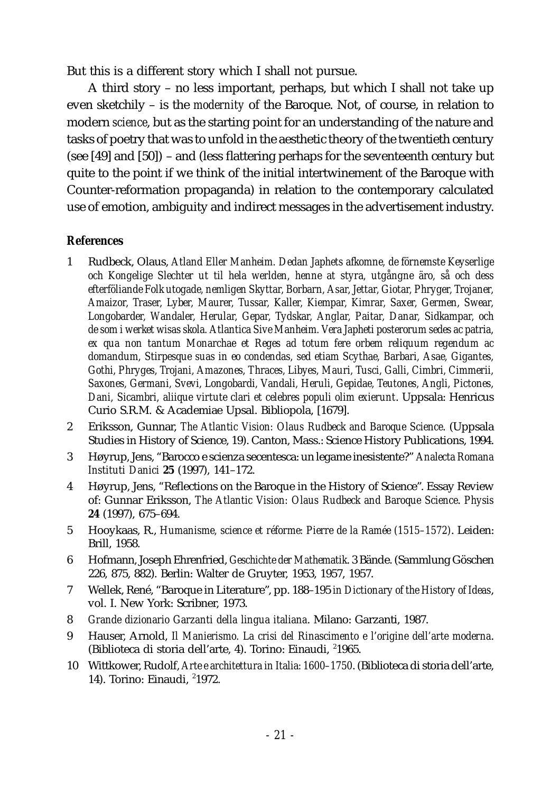But this is a different story which I shall not pursue.

A third story – no less important, perhaps, but which I shall not take up even sketchily – is the *modernity* of the Baroque. Not, of course, in relation to modern *science*, but as the starting point for an understanding of the nature and tasks of poetry that was to unfold in the aesthetic theory of the twentieth century (see [49] and [50]) – and (less flattering perhaps for the seventeenth century but quite to the point if we think of the initial intertwinement of the Baroque with Counter-reformation propaganda) in relation to the contemporary calculated use of emotion, ambiguity and indirect messages in the advertisement industry.

#### *References*

- 1 Rudbeck, Olaus, *Atland Eller Manheim. Dedan Japhets afkomne, de förnemste Keyserlige och Kongelige Slechter ut til hela werlden, henne at styra, utgångne äro, så och dess efterföliande Folk utogade, nemligen Skyttar, Borbarn, Asar, Jettar, Giotar, Phryger, Trojaner, Amaizor, Traser, Lyber, Maurer, Tussar, Kaller, Kiempar, Kimrar, Saxer, Germen, Swear, Longobarder, Wandaler, Herular, Gepar, Tydskar, Anglar, Paitar, Danar, Sidkampar, och de som i werket wisas skola. Atlantica Sive Manheim. Vera Japheti posterorum sedes ac patria, ex qua non tantum Monarchae et Reges ad totum fere orbem reliquum regendum ac domandum, Stirpesque suas in eo condendas, sed etiam Scythae, Barbari, Asae, Gigantes, Gothi, Phryges, Trojani, Amazones, Thraces, Libyes, Mauri, Tusci, Galli, Cimbri, Cimmerii, Saxones, Germani, Svevi, Longobardi, Vandali, Heruli, Gepidae, Teutones, Angli, Pictones, Dani, Sicambri, aliique virtute clari et celebres populi olim exierunt*. Uppsala: Henricus Curio S.R.M. & Academiae Upsal. Bibliopola, [1679].
- 2 Eriksson, Gunnar, *The Atlantic Vision: Olaus Rudbeck and Baroque Science*. (Uppsala Studies in History of Science, 19). Canton, Mass.: Science History Publications, 1994.
- 3 Høyrup, Jens, "Barocco e scienza secentesca: un legame inesistente?" *Analecta Romana Instituti Danici* **25** (1997), 141–172.
- 4 Høyrup, Jens, "Reflections on the Baroque in the History of Science". Essay Review of: Gunnar Eriksson, *The Atlantic Vision: Olaus Rudbeck and Baroque Science*. *Physis* **24** (1997), 675–694.
- 5 Hooykaas, R., *Humanisme, science et réforme: Pierre de la Ramée (1515–1572)*. Leiden: Brill, 1958.
- 6 Hofmann, Joseph Ehrenfried, *Geschichte der Mathematik*. 3 Bände. (Sammlung Göschen 226, 875, 882). Berlin: Walter de Gruyter, 1953, 1957, 1957.
- 7 Wellek, René, "Baroque in Literature", pp. 188–195 *in Dictionary of the History of Ideas*, vol. I. New York: Scribner, 1973.
- 8 *Grande dizionario Garzanti della lingua italiana*. Milano: Garzanti, 1987.
- 9 Hauser, Arnold, *Il Manierismo. La crisi del Rinascimento e l'origine dell'arte moderna*. (Biblioteca di storia dell'arte, 4). Torino: Einaudi, <sup>2</sup>1965.
- 10 Wittkower, Rudolf, *Arte e architettura in Italia: 1600–1750*. (Biblioteca di storia dell'arte, 14). Torino: Einaudi, <sup>2</sup>1972.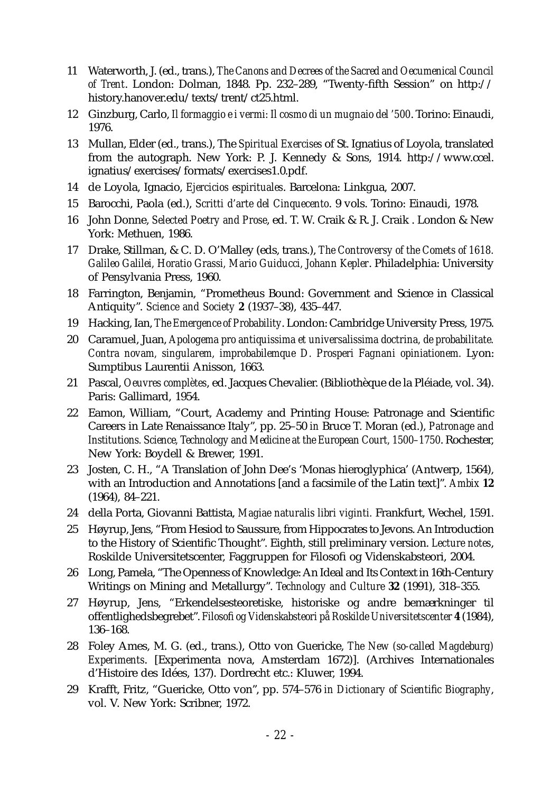- 11 Waterworth, J. (ed., trans.), *The Canons and Decrees of the Sacred and Oecumenical Council of Trent*. London: Dolman, 1848. Pp. 232–289, "Twenty-fifth Session" on http:// history.hanover.edu/texts/trent/ct25.html.
- 12 Ginzburg, Carlo, *Il formaggio e i vermi: Il cosmo di un mugnaio del '500*. Torino: Einaudi, 1976.
- 13 Mullan, Elder (ed., trans.), The *Spiritual Exercises* of St. Ignatius of Loyola, translated from the autograph. New York: P. J. Kennedy & Sons, 1914. http://www.ccel. ignatius/exercises/formats/exercises1.0.pdf.
- 14 de Loyola, Ignacio, *Ejercicios espirituales*. Barcelona: Linkgua, 2007.
- 15 Barocchi, Paola (ed.), *Scritti d'arte del Cinquecento*. 9 vols. Torino: Einaudi, 1978.
- 16 John Donne, *Selected Poetry and Prose*, ed. T. W. Craik & R. J. Craik . London & New York: Methuen, 1986.
- 17 Drake, Stillman, & C. D. O'Malley (eds, trans.), *The Controversy of the Comets of 1618. Galileo Galilei, Horatio Grassi, Mario Guiducci, Johann Kepler*. Philadelphia: University of Pensylvania Press, 1960.
- 18 Farrington, Benjamin, "Prometheus Bound: Government and Science in Classical Antiquity". *Science and Society* **2** (1937–38), 435–447.
- 19 Hacking, Ian, *The Emergence of Probability*. London: Cambridge University Press, 1975.
- 20 Caramuel, Juan, *Apologema pro antiquissima et universalissima doctrina, de probabilitate. Contra novam, singularem, improbabilemque D. Prosperi Fagnani opiniationem.* Lyon: Sumptibus Laurentii Anisson, 1663.
- 21 Pascal, *Oeuvres complètes*, ed. Jacques Chevalier. (Bibliothèque de la Pléiade, vol. 34). Paris: Gallimard, 1954.
- 22 Eamon, William, "Court, Academy and Printing House: Patronage and Scientific Careers in Late Renaissance Italy", pp. 25–50 *in* Bruce T. Moran (ed.), *Patronage and Institutions. Science, Technology and Medicine at the European Court, 1500–1750*. Rochester, New York: Boydell & Brewer, 1991.
- 23 Josten, C. H., "A Translation of John Dee's 'Monas hieroglyphica' (Antwerp, 1564), with an Introduction and Annotations [and a facsimile of the Latin text]". *Ambix* **12** (1964), 84–221.
- 24 della Porta, Giovanni Battista, *Magiae naturalis libri viginti.* Frankfurt, Wechel, 1591.
- 25 Høyrup, Jens, "From Hesiod to Saussure, from Hippocrates to Jevons. An Introduction to the History of Scientific Thought". Eighth, still preliminary version. *Lecture notes*, Roskilde Universitetscenter, Faggruppen for Filosofi og Videnskabsteori, 2004.
- 26 Long, Pamela, "The Openness of Knowledge: An Ideal and Its Context in 16th-Century Writings on Mining and Metallurgy". *Technology and Culture* **32** (1991), 318–355.
- 27 Høyrup, Jens, "Erkendelsesteoretiske, historiske og andre bemærkninger til offentlighedsbegrebet". *Filosofi og Videnskabsteori på Roskilde Universitetscenter* **4** (1984), 136–168.
- 28 Foley Ames, M. G. (ed., trans.), Otto von Guericke, *The New (so-called Magdeburg) Experiments*. [Experimenta nova, Amsterdam 1672)]. (Archives Internationales d'Histoire des Idées, 137). Dordrecht etc.: Kluwer, 1994.
- 29 Krafft, Fritz, "Guericke, Otto von", pp. 574–576 *in Dictionary of Scientific Biography*, vol. V. New York: Scribner, 1972.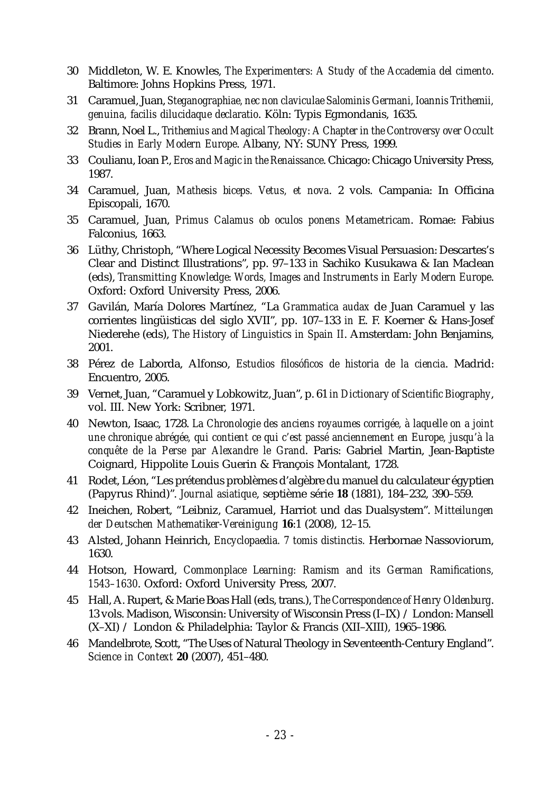- 30 Middleton, W. E. Knowles, *The Experimenters: A Study of the Accademia del cimento*. Baltimore: Johns Hopkins Press, 1971.
- 31 Caramuel, Juan, *Steganographiae, nec non claviculae Salominis Germani, Ioannis Trithemii, genuina, facilis dilucidaque declaratio*. Köln: Typis Egmondanis, 1635.
- 32 Brann, Noel L., *Trithemius and Magical Theology: A Chapter in the Controversy over Occult Studies in Early Modern Europe*. Albany, NY: SUNY Press, 1999.
- 33 Coulianu, Ioan P., *Eros and Magic in the Renaissance*. Chicago: Chicago University Press, 1987.
- 34 Caramuel, Juan, *Mathesis biceps. Vetus, et nova*. 2 vols. Campania: In Officina Episcopali, 1670.
- 35 Caramuel, Juan, *Primus Calamus ob oculos ponens Metametricam*. Romae: Fabius Falconius, 1663.
- 36 Lüthy, Christoph, "Where Logical Necessity Becomes Visual Persuasion: Descartes's Clear and Distinct Illustrations", pp. 97–133 *in* Sachiko Kusukawa & Ian Maclean (eds), *Transmitting Knowledge: Words, Images and Instruments in Early Modern Europe*. Oxford: Oxford University Press, 2006.
- 37 Gavilán, María Dolores Martínez, "La *Grammatica audax* de Juan Caramuel y las corrientes lingüisticas del siglo XVII", pp. 107–133 *in* E. F. Koerner & Hans-Josef Niederehe (eds), *The History of Linguistics in Spain II*. Amsterdam: John Benjamins, 2001.
- 38 Pérez de Laborda, Alfonso, *Estudios filosóficos de historia de la ciencia*. Madrid: Encuentro, 2005.
- 39 Vernet, Juan, "Caramuel y Lobkowitz, Juan", p. 61 *in Dictionary of Scientific Biography*, vol. III. New York: Scribner, 1971.
- 40 Newton, Isaac, 1728. *La Chronologie des anciens royaumes corrigée, à laquelle on a joint une chronique abrégée, qui contient ce qui c'est passé anciennement en Europe, jusqu'à la conquête de la Perse par Alexandre le Grand*. Paris: Gabriel Martin, Jean-Baptiste Coignard, Hippolite Louis Guerin & François Montalant, 1728.
- 41 Rodet, Léon, "Les prétendus problèmes d'algèbre du manuel du calculateur égyptien (Papyrus Rhind)". *Journal asiatique*, septième série **18** (1881), 184–232, 390–559.
- 42 Ineichen, Robert, "Leibniz, Caramuel, Harriot und das Dualsystem". *Mitteilungen der Deutschen Mathematiker-Vereinigung* **16**:1 (2008), 12–15.
- 43 Alsted, Johann Heinrich, *Encyclopaedia. 7 tomis distinctis.* Herbornae Nassoviorum, 1630.
- 44 Hotson, Howard, *Commonplace Learning: Ramism and its German Ramifications, 1543–1630*. Oxford: Oxford University Press, 2007.
- 45 Hall, A. Rupert, & Marie Boas Hall (eds, trans.), *The Correspondence of Henry Oldenburg*. 13 vols. Madison, Wisconsin: University of Wisconsin Press (I–IX) / London: Mansell (X–XI) / London & Philadelphia: Taylor & Francis (XII–XIII), 1965–1986.
- 46 Mandelbrote, Scott, "The Uses of Natural Theology in Seventeenth-Century England". *Science in Context* **20** (2007), 451–480.